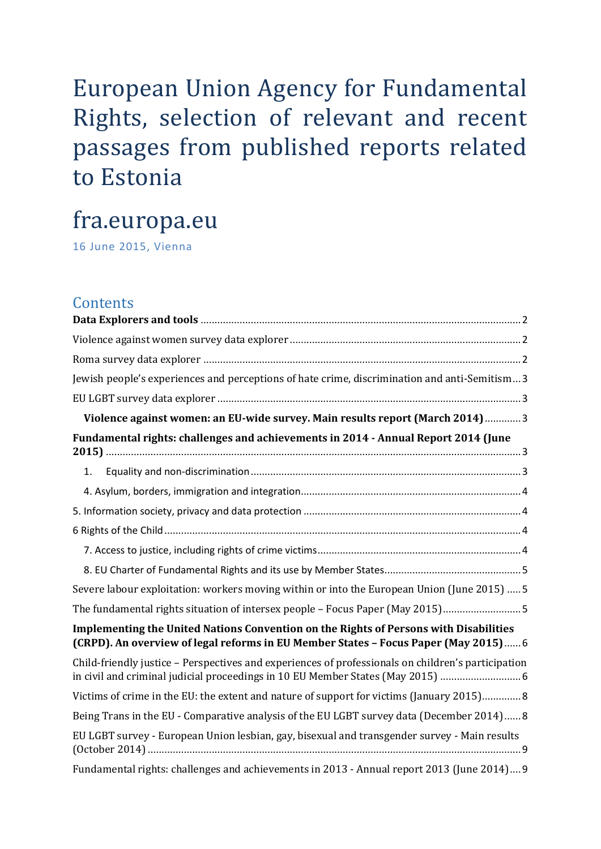# European Union Agency for Fundamental Rights, selection of relevant and recent passages from published reports related to Estonia

# fra.europa.eu

16 June 2015, Vienna

# **Contents**

| Jewish people's experiences and perceptions of hate crime, discrimination and anti-Semitism 3                                                                                         |  |
|---------------------------------------------------------------------------------------------------------------------------------------------------------------------------------------|--|
|                                                                                                                                                                                       |  |
| Violence against women: an EU-wide survey. Main results report (March 2014) 3                                                                                                         |  |
| Fundamental rights: challenges and achievements in 2014 - Annual Report 2014 (June                                                                                                    |  |
| 1.                                                                                                                                                                                    |  |
|                                                                                                                                                                                       |  |
|                                                                                                                                                                                       |  |
|                                                                                                                                                                                       |  |
|                                                                                                                                                                                       |  |
|                                                                                                                                                                                       |  |
| Severe labour exploitation: workers moving within or into the European Union (June 2015)  5                                                                                           |  |
| The fundamental rights situation of intersex people - Focus Paper (May 2015)5                                                                                                         |  |
| Implementing the United Nations Convention on the Rights of Persons with Disabilities<br>(CRPD). An overview of legal reforms in EU Member States - Focus Paper (May 2015) 6          |  |
| Child-friendly justice - Perspectives and experiences of professionals on children's participation<br>in civil and criminal judicial proceedings in 10 EU Member States (May 2015)  6 |  |
| Victims of crime in the EU: the extent and nature of support for victims (January 2015) 8                                                                                             |  |
| Being Trans in the EU - Comparative analysis of the EU LGBT survey data (December 2014)8                                                                                              |  |
| EU LGBT survey - European Union lesbian, gay, bisexual and transgender survey - Main results                                                                                          |  |
| Fundamental rights: challenges and achievements in 2013 - Annual report 2013 (June 2014) 9                                                                                            |  |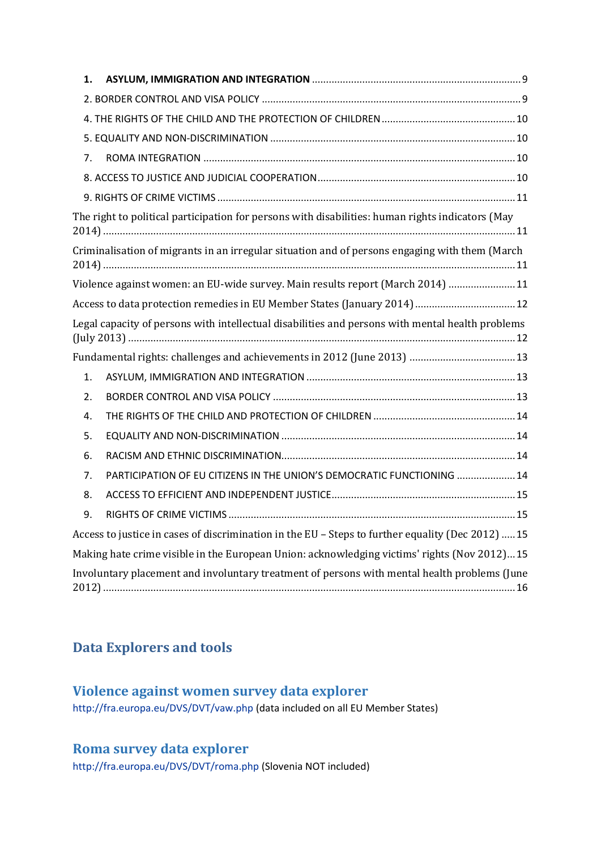| 1. |                                                                                                   |  |
|----|---------------------------------------------------------------------------------------------------|--|
|    |                                                                                                   |  |
|    |                                                                                                   |  |
|    |                                                                                                   |  |
| 7. |                                                                                                   |  |
|    |                                                                                                   |  |
|    |                                                                                                   |  |
|    | The right to political participation for persons with disabilities: human rights indicators (May  |  |
|    | Criminalisation of migrants in an irregular situation and of persons engaging with them (March    |  |
|    | Violence against women: an EU-wide survey. Main results report (March 2014)  11                   |  |
|    | Access to data protection remedies in EU Member States (January 2014) 12                          |  |
|    | Legal capacity of persons with intellectual disabilities and persons with mental health problems  |  |
|    |                                                                                                   |  |
| 1. |                                                                                                   |  |
| 2. |                                                                                                   |  |
| 4. |                                                                                                   |  |
| 5. |                                                                                                   |  |
| 6. |                                                                                                   |  |
| 7. | PARTICIPATION OF EU CITIZENS IN THE UNION'S DEMOCRATIC FUNCTIONING  14                            |  |
| 8. |                                                                                                   |  |
| 9. |                                                                                                   |  |
|    | Access to justice in cases of discrimination in the EU - Steps to further equality (Dec 2012)  15 |  |
|    | Making hate crime visible in the European Union: acknowledging victims' rights (Nov 2012)15       |  |
|    | Involuntary placement and involuntary treatment of persons with mental health problems (June      |  |

# <span id="page-1-1"></span><span id="page-1-0"></span>**Data Explorers and tools**

## **Violence against women survey data explorer**

<http://fra.europa.eu/DVS/DVT/vaw.php> (data included on all EU Member States)

# <span id="page-1-2"></span>**Roma survey data explorer**

<http://fra.europa.eu/DVS/DVT/roma.php> (Slovenia NOT included)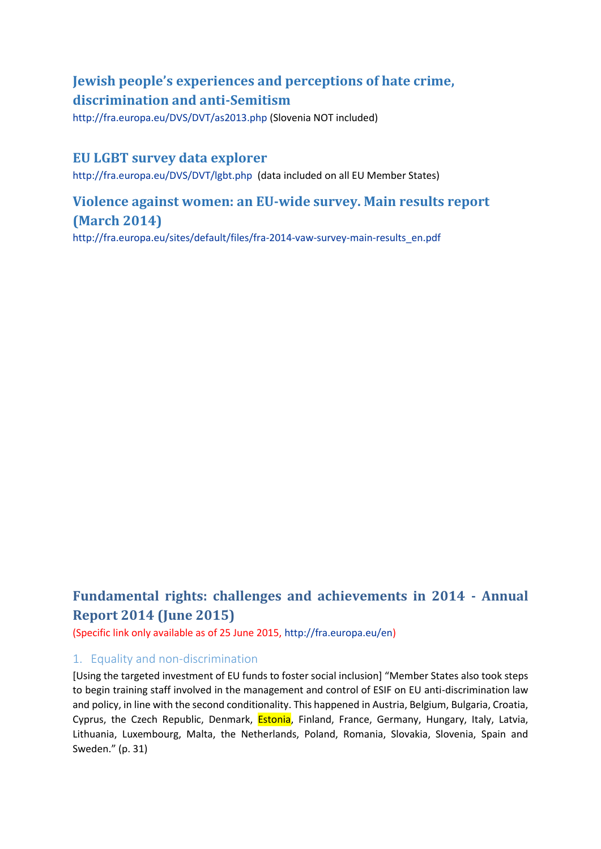# <span id="page-2-0"></span>**Jewish people's experiences and perceptions of hate crime, discrimination and anti-Semitism**

<http://fra.europa.eu/DVS/DVT/as2013.php> (Slovenia NOT included)

### <span id="page-2-1"></span>**EU LGBT survey data explorer**

<http://fra.europa.eu/DVS/DVT/lgbt.php>(data included on all EU Member States)

## <span id="page-2-2"></span>**Violence against women: an EU-wide survey. Main results report (March 2014)**

[http://fra.europa.eu/sites/default/files/fra-2014-vaw-survey-main-results\\_en.pdf](http://fra.europa.eu/sites/default/files/fra-2014-vaw-survey-main-results_en.pdf)

# <span id="page-2-3"></span>**Fundamental rights: challenges and achievements in 2014 - Annual Report 2014 (June 2015)**

(Specific link only available as of 25 June 2015[, http://fra.europa.eu/en\)](http://fra.europa.eu/en)

### <span id="page-2-4"></span>1. Equality and non-discrimination

[Using the targeted investment of EU funds to foster social inclusion] "Member States also took steps to begin training staff involved in the management and control of ESIF on EU anti-discrimination law and policy, in line with the second conditionality. This happened in Austria, Belgium, Bulgaria, Croatia, Cyprus, the Czech Republic, Denmark, *Estonia*, Finland, France, Germany, Hungary, Italy, Latvia, Lithuania, Luxembourg, Malta, the Netherlands, Poland, Romania, Slovakia, Slovenia, Spain and Sweden." (p. 31)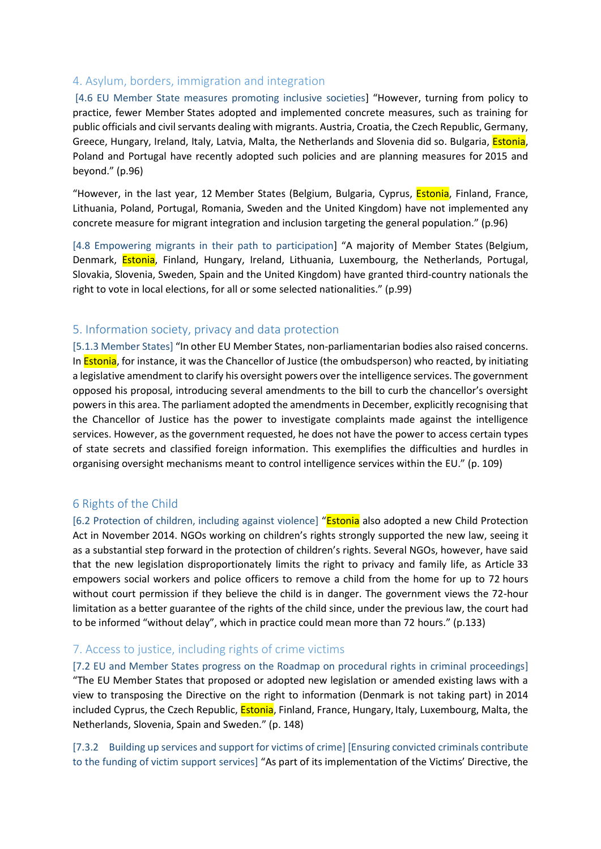### <span id="page-3-0"></span>4. Asylum, borders, immigration and integration

[4.6 EU Member State measures promoting inclusive societies] "However, turning from policy to practice, fewer Member States adopted and implemented concrete measures, such as training for public officials and civil servants dealing with migrants. Austria, Croatia, the Czech Republic, Germany, Greece, Hungary, Ireland, Italy, Latvia, Malta, the Netherlands and Slovenia did so. Bulgaria, *Estonia*, Poland and Portugal have recently adopted such policies and are planning measures for 2015 and beyond." (p.96)

"However, in the last year, 12 Member States (Belgium, Bulgaria, Cyprus, Estonia, Finland, France, Lithuania, Poland, Portugal, Romania, Sweden and the United Kingdom) have not implemented any concrete measure for migrant integration and inclusion targeting the general population." (p.96)

[4.8 Empowering migrants in their path to participation] "A majority of Member States (Belgium, Denmark, **Estonia**, Finland, Hungary, Ireland, Lithuania, Luxembourg, the Netherlands, Portugal, Slovakia, Slovenia, Sweden, Spain and the United Kingdom) have granted third-country nationals the right to vote in local elections, for all or some selected nationalities." (p.99)

#### <span id="page-3-1"></span>5. Information society, privacy and data protection

[5.1.3 Member States] "In other EU Member States, non-parliamentarian bodies also raised concerns. In **Estonia**, for instance, it was the Chancellor of Justice (the ombudsperson) who reacted, by initiating a legislative amendment to clarify his oversight powers over the intelligence services. The government opposed his proposal, introducing several amendments to the bill to curb the chancellor's oversight powers in this area. The parliament adopted the amendments in December, explicitly recognising that the Chancellor of Justice has the power to investigate complaints made against the intelligence services. However, as the government requested, he does not have the power to access certain types of state secrets and classified foreign information. This exemplifies the difficulties and hurdles in organising oversight mechanisms meant to control intelligence services within the EU." (p. 109)

### <span id="page-3-2"></span>6 Rights of the Child

[6.2 Protection of children, including against violence] "Estonia also adopted a new Child Protection Act in November 2014. NGOs working on children's rights strongly supported the new law, seeing it as a substantial step forward in the protection of children's rights. Several NGOs, however, have said that the new legislation disproportionately limits the right to privacy and family life, as Article 33 empowers social workers and police officers to remove a child from the home for up to 72 hours without court permission if they believe the child is in danger. The government views the 72-hour limitation as a better guarantee of the rights of the child since, under the previous law, the court had to be informed "without delay", which in practice could mean more than 72 hours." (p.133)

### <span id="page-3-3"></span>7. Access to justice, including rights of crime victims

[7.2 EU and Member States progress on the Roadmap on procedural rights in criminal proceedings] "The EU Member States that proposed or adopted new legislation or amended existing laws with a view to transposing the Directive on the right to information (Denmark is not taking part) in 2014 included Cyprus, the Czech Republic, **Estonia**, Finland, France, Hungary, Italy, Luxembourg, Malta, the Netherlands, Slovenia, Spain and Sweden." (p. 148)

[7.3.2 Building up services and support for victims of crime] [Ensuring convicted criminals contribute to the funding of victim support services] "As part of its implementation of the Victims' Directive, the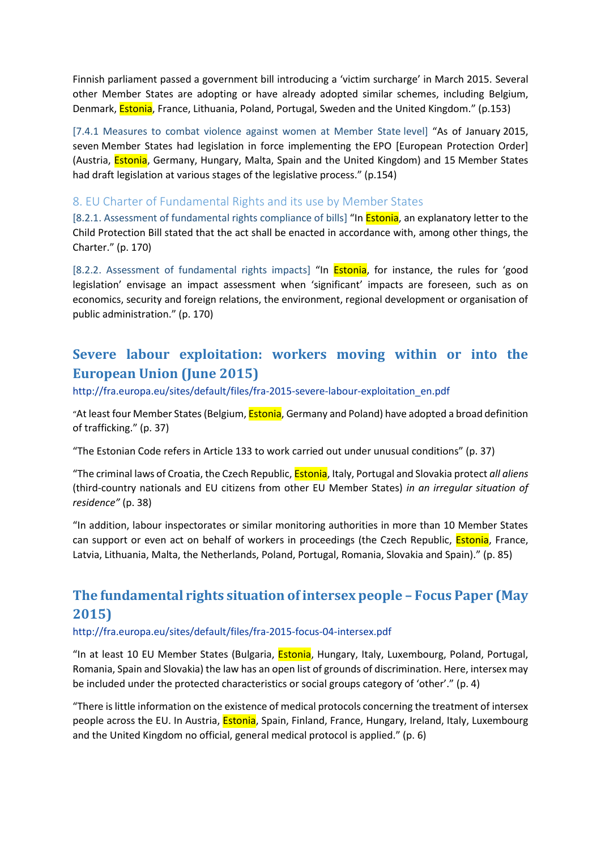Finnish parliament passed a government bill introducing a 'victim surcharge' in March 2015. Several other Member States are adopting or have already adopted similar schemes, including Belgium, Denmark, **Estonia**, France, Lithuania, Poland, Portugal, Sweden and the United Kingdom." (p.153)

[7.4.1 Measures to combat violence against women at Member State level] "As of January 2015, seven Member States had legislation in force implementing the EPO [European Protection Order] (Austria, **Estonia**, Germany, Hungary, Malta, Spain and the United Kingdom) and 15 Member States had draft legislation at various stages of the legislative process." (p.154)

### <span id="page-4-0"></span>8. EU Charter of Fundamental Rights and its use by Member States

[8.2.1. Assessment of fundamental rights compliance of bills] "In **Estonia**, an explanatory letter to the Child Protection Bill stated that the act shall be enacted in accordance with, among other things, the Charter." (p. 170)

[8.2.2. Assessment of fundamental rights impacts] "In **Estonia**, for instance, the rules for 'good legislation' envisage an impact assessment when 'significant' impacts are foreseen, such as on economics, security and foreign relations, the environment, regional development or organisation of public administration." (p. 170)

# <span id="page-4-1"></span>**Severe labour exploitation: workers moving within or into the European Union (June 2015)**

[http://fra.europa.eu/sites/default/files/fra-2015-severe-labour-exploitation\\_en.pdf](http://fra.europa.eu/sites/default/files/fra-2015-severe-labour-exploitation_en.pdf)

"At least four Member States (Belgium, **Estonia**, Germany and Poland) have adopted a broad definition of trafficking." (p. 37)

"The Estonian Code refers in Article 133 to work carried out under unusual conditions" (p. 37)

"The criminal laws of Croatia, the Czech Republic, Estonia, Italy, Portugal and Slovakia protect *all aliens*  (third-country nationals and EU citizens from other EU Member States) *in an irregular situation of residence"* (p. 38)

"In addition, labour inspectorates or similar monitoring authorities in more than 10 Member States can support or even act on behalf of workers in proceedings (the Czech Republic, *Estonia*, France, Latvia, Lithuania, Malta, the Netherlands, Poland, Portugal, Romania, Slovakia and Spain)." (p. 85)

# <span id="page-4-2"></span>**The fundamental rights situation of intersex people – Focus Paper (May 2015)**

#### <http://fra.europa.eu/sites/default/files/fra-2015-focus-04-intersex.pdf>

"In at least 10 EU Member States (Bulgaria, *Estonia*, Hungary, Italy, Luxembourg, Poland, Portugal, Romania, Spain and Slovakia) the law has an open list of grounds of discrimination. Here, intersex may be included under the protected characteristics or social groups category of 'other'." (p. 4)

"There is little information on the existence of medical protocols concerning the treatment of intersex people across the EU. In Austria, **Estonia**, Spain, Finland, France, Hungary, Ireland, Italy, Luxembourg and the United Kingdom no official, general medical protocol is applied." (p. 6)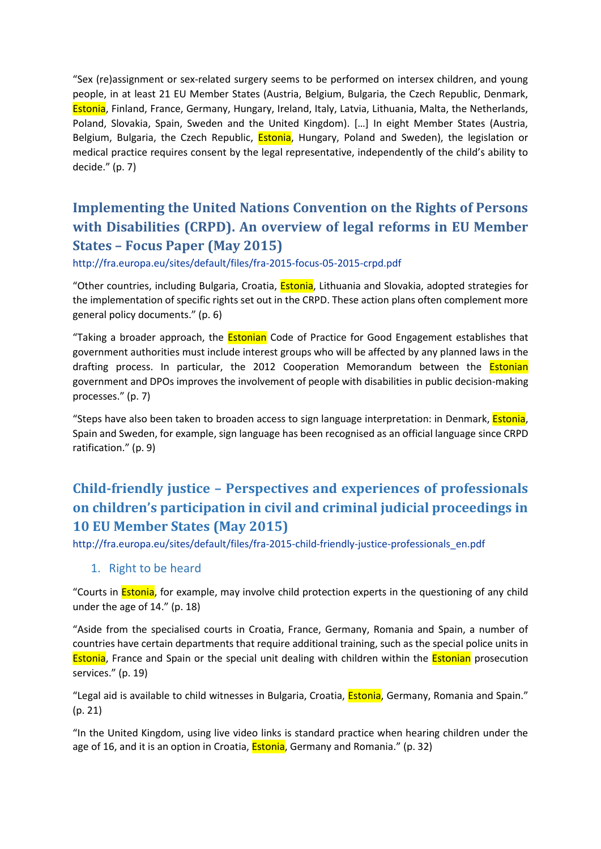"Sex (re)assignment or sex-related surgery seems to be performed on intersex children, and young people, in at least 21 EU Member States (Austria, Belgium, Bulgaria, the Czech Republic, Denmark, Estonia, Finland, France, Germany, Hungary, Ireland, Italy, Latvia, Lithuania, Malta, the Netherlands, Poland, Slovakia, Spain, Sweden and the United Kingdom). […] In eight Member States (Austria, Belgium, Bulgaria, the Czech Republic, *Estonia*, Hungary, Poland and Sweden), the legislation or medical practice requires consent by the legal representative, independently of the child's ability to decide." (p. 7)

# <span id="page-5-0"></span>**Implementing the United Nations Convention on the Rights of Persons with Disabilities (CRPD). An overview of legal reforms in EU Member States – Focus Paper (May 2015)**

<http://fra.europa.eu/sites/default/files/fra-2015-focus-05-2015-crpd.pdf>

"Other countries, including Bulgaria, Croatia, *Estonia*, Lithuania and Slovakia, adopted strategies for the implementation of specific rights set out in the CRPD. These action plans often complement more general policy documents." (p. 6)

"Taking a broader approach, the **Estonian** Code of Practice for Good Engagement establishes that government authorities must include interest groups who will be affected by any planned laws in the drafting process. In particular, the 2012 Cooperation Memorandum between the **Estonian** government and DPOs improves the involvement of people with disabilities in public decision-making processes." (p. 7)

"Steps have also been taken to broaden access to sign language interpretation: in Denmark, **Estonia**, Spain and Sweden, for example, sign language has been recognised as an official language since CRPD ratification." (p. 9)

# <span id="page-5-1"></span>**Child-friendly justice – Perspectives and experiences of professionals on children's participation in civil and criminal judicial proceedings in 10 EU Member States (May 2015)**

[http://fra.europa.eu/sites/default/files/fra-2015-child-friendly-justice-professionals\\_en.pdf](http://fra.europa.eu/sites/default/files/fra-2015-child-friendly-justice-professionals_en.pdf)

#### 1. Right to be heard

"Courts in **Estonia**, for example, may involve child protection experts in the questioning of any child under the age of 14." (p. 18)

"Aside from the specialised courts in Croatia, France, Germany, Romania and Spain, a number of countries have certain departments that require additional training, such as the special police units in **Estonia**, France and Spain or the special unit dealing with children within the **Estonian** prosecution services." (p. 19)

"Legal aid is available to child witnesses in Bulgaria, Croatia, Estonia, Germany, Romania and Spain." (p. 21)

"In the United Kingdom, using live video links is standard practice when hearing children under the age of 16, and it is an option in Croatia, **Estonia**, Germany and Romania." (p. 32)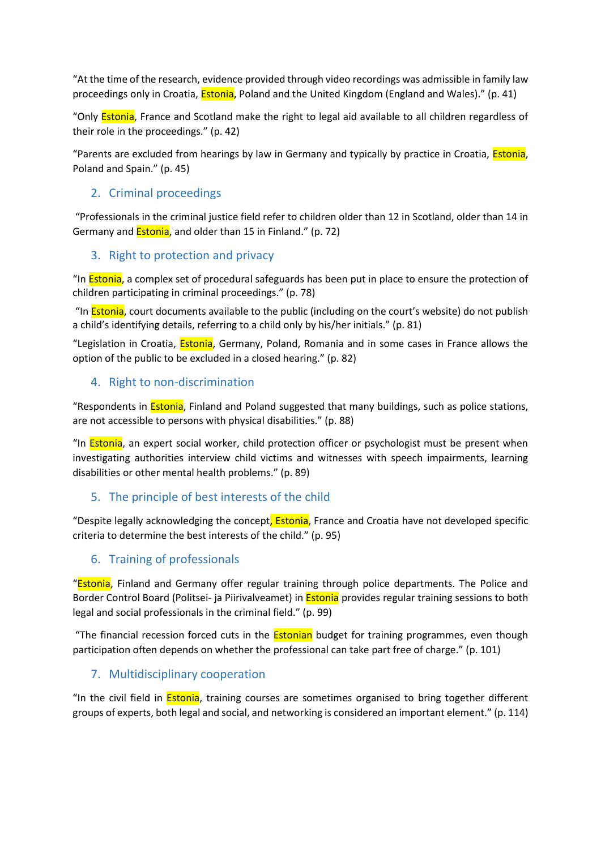"At the time of the research, evidence provided through video recordings was admissible in family law proceedings only in Croatia, **Estonia**, Poland and the United Kingdom (England and Wales)." (p. 41)

"Only Estonia, France and Scotland make the right to legal aid available to all children regardless of their role in the proceedings." (p. 42)

"Parents are excluded from hearings by law in Germany and typically by practice in Croatia, *Estonia*, Poland and Spain." (p. 45)

### 2. Criminal proceedings

"Professionals in the criminal justice field refer to children older than 12 in Scotland, older than 14 in Germany and Estonia, and older than 15 in Finland." (p. 72)

### 3. Right to protection and privacy

"In **Estonia**, a complex set of procedural safeguards has been put in place to ensure the protection of children participating in criminal proceedings." (p. 78)

"In **Estonia**, court documents available to the public (including on the court's website) do not publish a child's identifying details, referring to a child only by his/her initials." (p. 81)

"Legislation in Croatia, *Estonia*, Germany, Poland, Romania and in some cases in France allows the option of the public to be excluded in a closed hearing." (p. 82)

### 4. Right to non-discrimination

"Respondents in **Estonia**, Finland and Poland suggested that many buildings, such as police stations, are not accessible to persons with physical disabilities." (p. 88)

"In **Estonia**, an expert social worker, child protection officer or psychologist must be present when investigating authorities interview child victims and witnesses with speech impairments, learning disabilities or other mental health problems." (p. 89)

### 5. The principle of best interests of the child

"Despite legally acknowledging the concept, Estonia, France and Croatia have not developed specific criteria to determine the best interests of the child." (p. 95)

### 6. Training of professionals

"**Estonia**, Finland and Germany offer regular training through police departments. The Police and Border Control Board (Politsei- ja Piirivalveamet) in **Estonia** provides regular training sessions to both legal and social professionals in the criminal field." (p. 99)

"The financial recession forced cuts in the **Estonian** budget for training programmes, even though participation often depends on whether the professional can take part free of charge." (p. 101)

### 7. Multidisciplinary cooperation

"In the civil field in **Estonia**, training courses are sometimes organised to bring together different groups of experts, both legal and social, and networking is considered an important element." (p. 114)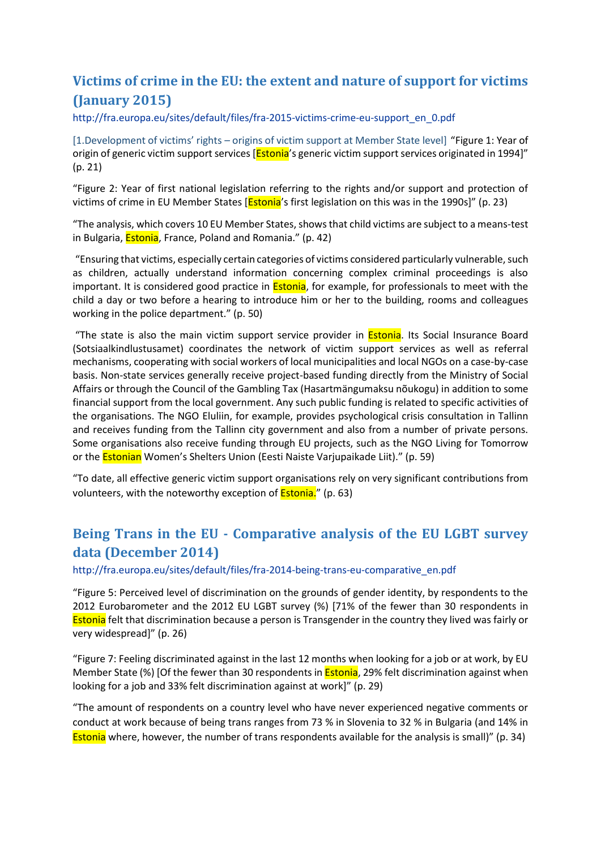# <span id="page-7-0"></span>**Victims of crime in the EU: the extent and nature of support for victims (January 2015)**

[http://fra.europa.eu/sites/default/files/fra-2015-victims-crime-eu-support\\_en\\_0.pdf](http://fra.europa.eu/sites/default/files/fra-2015-victims-crime-eu-support_en_0.pdf)

[1.Development of victims' rights – origins of victim support at Member State level] "Figure 1: Year of origin of generic victim support services [**Estonia'**s generic victim support services originated in 1994]" (p. 21)

"Figure 2: Year of first national legislation referring to the rights and/or support and protection of victims of crime in EU Member States [**Estonia**'s first legislation on this was in the 1990s]" (p. 23)

"The analysis, which covers 10 EU Member States, shows that child victims are subject to a means-test in Bulgaria, **Estonia**, France, Poland and Romania." (p. 42)

"Ensuring that victims, especially certain categories of victims considered particularly vulnerable, such as children, actually understand information concerning complex criminal proceedings is also important. It is considered good practice in **Estonia**, for example, for professionals to meet with the child a day or two before a hearing to introduce him or her to the building, rooms and colleagues working in the police department." (p. 50)

"The state is also the main victim support service provider in **Estonia**. Its Social Insurance Board (Sotsiaalkindlustusamet) coordinates the network of victim support services as well as referral mechanisms, cooperating with social workers of local municipalities and local NGOs on a case-by-case basis. Non-state services generally receive project-based funding directly from the Ministry of Social Affairs or through the Council of the Gambling Tax (Hasartmängumaksu nõukogu) in addition to some financial support from the local government. Any such public funding is related to specific activities of the organisations. The NGO Eluliin, for example, provides psychological crisis consultation in Tallinn and receives funding from the Tallinn city government and also from a number of private persons. Some organisations also receive funding through EU projects, such as the NGO Living for Tomorrow or the **Estonian** Women's Shelters Union (Eesti Naiste Varjupaikade Liit)." (p. 59)

"To date, all effective generic victim support organisations rely on very significant contributions from volunteers, with the noteworthy exception of **Estonia.**" (p. 63)

# <span id="page-7-1"></span>**Being Trans in the EU - Comparative analysis of the EU LGBT survey data (December 2014)**

[http://fra.europa.eu/sites/default/files/fra-2014-being-trans-eu-comparative\\_en.pdf](http://fra.europa.eu/sites/default/files/fra-2014-being-trans-eu-comparative_en.pdf)

"Figure 5: Perceived level of discrimination on the grounds of gender identity, by respondents to the 2012 Eurobarometer and the 2012 EU LGBT survey (%) [71% of the fewer than 30 respondents in **Estonia** felt that discrimination because a person is Transgender in the country they lived was fairly or very widespread]" (p. 26)

"Figure 7: Feeling discriminated against in the last 12 months when looking for a job or at work, by EU Member State (%) [Of the fewer than 30 respondents in **Estonia**, 29% felt discrimination against when looking for a job and 33% felt discrimination against at work]" (p. 29)

"The amount of respondents on a country level who have never experienced negative comments or conduct at work because of being trans ranges from 73 % in Slovenia to 32 % in Bulgaria (and 14% in Estonia where, however, the number of trans respondents available for the analysis is small)" (p. 34)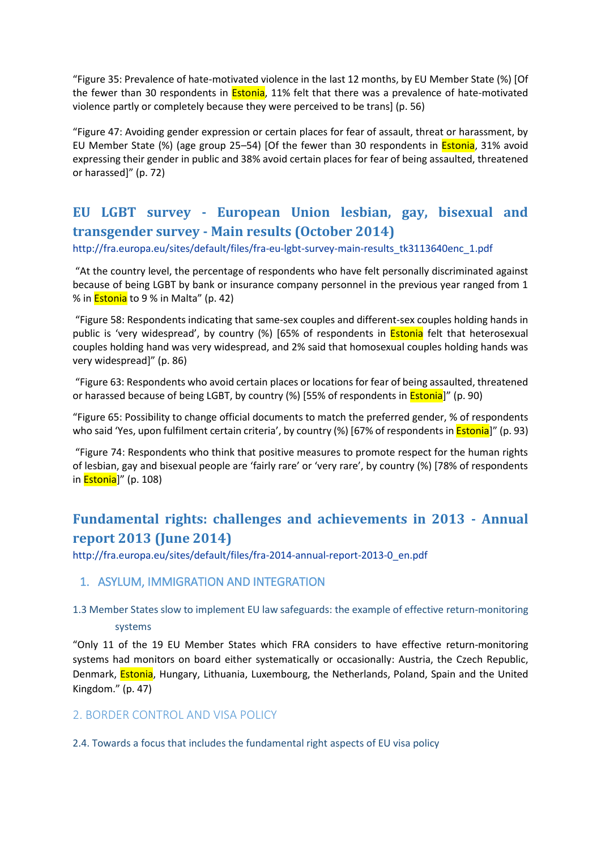"Figure 35: Prevalence of hate-motivated violence in the last 12 months, by EU Member State (%) [Of the fewer than 30 respondents in **Estonia**, 11% felt that there was a prevalence of hate-motivated violence partly or completely because they were perceived to be trans] (p. 56)

"Figure 47: Avoiding gender expression or certain places for fear of assault, threat or harassment, by EU Member State (%) (age group 25–54) [Of the fewer than 30 respondents in **Estonia**, 31% avoid expressing their gender in public and 38% avoid certain places for fear of being assaulted, threatened or harassed]" (p. 72)

# <span id="page-8-0"></span>**EU LGBT survey - European Union lesbian, gay, bisexual and transgender survey - Main results (October 2014)**

[http://fra.europa.eu/sites/default/files/fra-eu-lgbt-survey-main-results\\_tk3113640enc\\_1.pdf](http://fra.europa.eu/sites/default/files/fra-eu-lgbt-survey-main-results_tk3113640enc_1.pdf)

"At the country level, the percentage of respondents who have felt personally discriminated against because of being LGBT by bank or insurance company personnel in the previous year ranged from 1 % in **Estonia** to 9 % in Malta" (p. 42)

"Figure 58: Respondents indicating that same-sex couples and different-sex couples holding hands in public is 'very widespread', by country (%) [65% of respondents in **Estonia** felt that heterosexual couples holding hand was very widespread, and 2% said that homosexual couples holding hands was very widespread]" (p. 86)

"Figure 63: Respondents who avoid certain places or locations for fear of being assaulted, threatened or harassed because of being LGBT, by country (%) [55% of respondents in Estonia]" (p. 90)

"Figure 65: Possibility to change official documents to match the preferred gender, % of respondents who said 'Yes, upon fulfilment certain criteria', by country (%) [67% of respondents in **Estonia**]" (p. 93)

"Figure 74: Respondents who think that positive measures to promote respect for the human rights of lesbian, gay and bisexual people are 'fairly rare' or 'very rare', by country (%) [78% of respondents in **Estonia**]" (p. 108)

# <span id="page-8-1"></span>**Fundamental rights: challenges and achievements in 2013 - Annual report 2013 (June 2014)**

[http://fra.europa.eu/sites/default/files/fra-2014-annual-report-2013-0\\_en.pdf](http://fra.europa.eu/sites/default/files/fra-2014-annual-report-2013-0_en.pdf)

#### <span id="page-8-2"></span>1. ASYLUM, IMMIGRATION AND INTEGRATION

### 1.3 Member States slow to implement EU law safeguards: the example of effective return-monitoring systems

"Only 11 of the 19 EU Member States which FRA considers to have effective return-monitoring systems had monitors on board either systematically or occasionally: Austria, the Czech Republic, Denmark, **Estonia**, Hungary, Lithuania, Luxembourg, the Netherlands, Poland, Spain and the United Kingdom." (p. 47)

#### <span id="page-8-3"></span>2. BORDER CONTROL AND VISA POLICY

2.4. Towards a focus that includes the fundamental right aspects of EU visa policy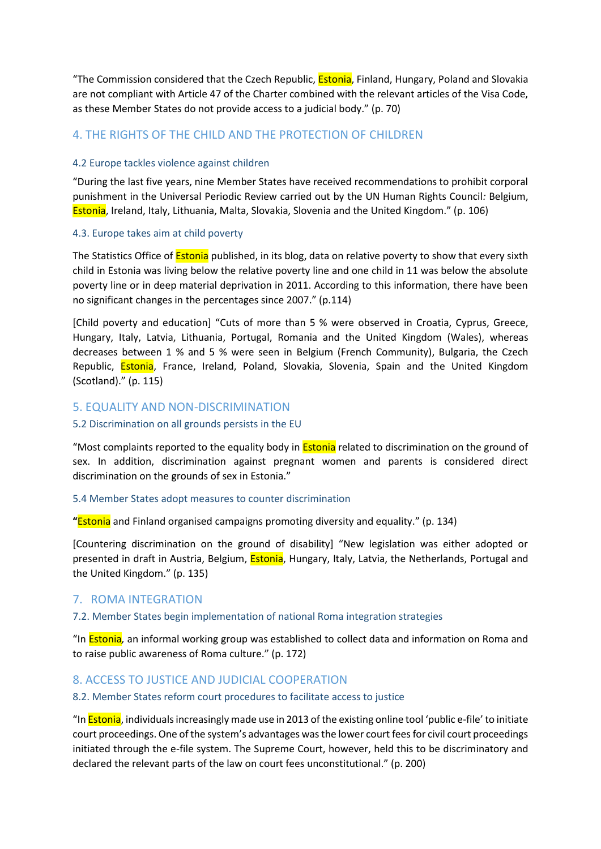"The Commission considered that the Czech Republic, **Estonia**, Finland, Hungary, Poland and Slovakia are not compliant with Article 47 of the Charter combined with the relevant articles of the Visa Code, as these Member States do not provide access to a judicial body." (p. 70)

### <span id="page-9-0"></span>4. THE RIGHTS OF THE CHILD AND THE PROTECTION OF CHILDREN

#### 4.2 Europe tackles violence against children

"During the last five years, nine Member States have received recommendations to prohibit corporal punishment in the Universal Periodic Review carried out by the UN Human Rights Council*:* Belgium, Estonia, Ireland, Italy, Lithuania, Malta, Slovakia, Slovenia and the United Kingdom." (p. 106)

#### 4.3. Europe takes aim at child poverty

The Statistics Office of **Estonia** published, in its blog, data on relative poverty to show that every sixth child in Estonia was living below the relative poverty line and one child in 11 was below the absolute poverty line or in deep material deprivation in 2011. According to this information, there have been no significant changes in the percentages since 2007." (p.114)

[Child poverty and education] "Cuts of more than 5 % were observed in Croatia, Cyprus, Greece, Hungary, Italy, Latvia, Lithuania, Portugal, Romania and the United Kingdom (Wales), whereas decreases between 1 % and 5 % were seen in Belgium (French Community), Bulgaria, the Czech Republic, **Estonia**, France, Ireland, Poland, Slovakia, Slovenia, Spain and the United Kingdom (Scotland)." (p. 115)

#### <span id="page-9-1"></span>5. EQUALITY AND NON-DISCRIMINATION

#### 5.2 Discrimination on all grounds persists in the EU

"Most complaints reported to the equality body in **Estonia** related to discrimination on the ground of sex. In addition, discrimination against pregnant women and parents is considered direct discrimination on the grounds of sex in Estonia."

#### 5.4 Member States adopt measures to counter discrimination

**"**Estonia and Finland organised campaigns promoting diversity and equality." (p. 134)

[Countering discrimination on the ground of disability] "New legislation was either adopted or presented in draft in Austria, Belgium, **Estonia**, Hungary, Italy, Latvia, the Netherlands, Portugal and the United Kingdom." (p. 135)

### <span id="page-9-2"></span>7. ROMA INTEGRATION

#### 7.2. Member States begin implementation of national Roma integration strategies

"In Estonia*,* an informal working group was established to collect data and information on Roma and to raise public awareness of Roma culture." (p. 172)

#### <span id="page-9-3"></span>8. ACCESS TO JUSTICE AND JUDICIAL COOPERATION

#### 8.2. Member States reform court procedures to facilitate access to justice

"In **Estonia**, individuals increasingly made use in 2013 of the existing online tool 'public e-file' to initiate court proceedings. One of the system's advantages was the lower court fees for civil court proceedings initiated through the e-file system. The Supreme Court, however, held this to be discriminatory and declared the relevant parts of the law on court fees unconstitutional." (p. 200)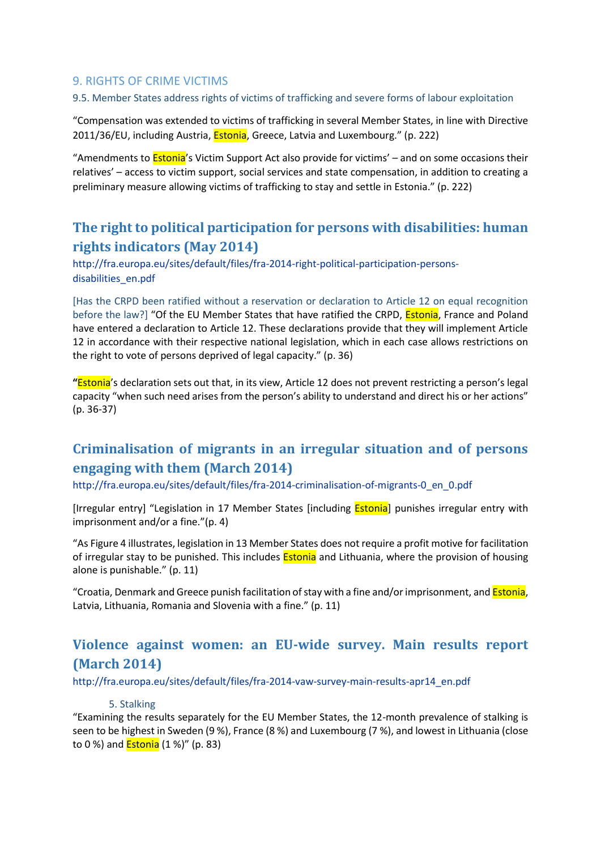### <span id="page-10-0"></span>9. RIGHTS OF CRIME VICTIMS

#### 9.5. Member States address rights of victims of trafficking and severe forms of labour exploitation

"Compensation was extended to victims of trafficking in several Member States, in line with Directive 2011/36/EU, including Austria, **Estonia**, Greece, Latvia and Luxembourg." (p. 222)

"Amendments to **Estonia**'s Victim Support Act also provide for victims' – and on some occasions their relatives' – access to victim support, social services and state compensation, in addition to creating a preliminary measure allowing victims of trafficking to stay and settle in Estonia." (p. 222)

# <span id="page-10-1"></span>**The right to political participation for persons with disabilities: human rights indicators (May 2014)**

[http://fra.europa.eu/sites/default/files/fra-2014-right-political-participation-persons](http://fra.europa.eu/sites/default/files/fra-2014-right-political-participation-persons-disabilities_en.pdf)[disabilities\\_en.pdf](http://fra.europa.eu/sites/default/files/fra-2014-right-political-participation-persons-disabilities_en.pdf)

[Has the CRPD been ratified without a reservation or declaration to Article 12 on equal recognition before the law?] "Of the EU Member States that have ratified the CRPD, **Estonia**, France and Poland have entered a declaration to Article 12. These declarations provide that they will implement Article 12 in accordance with their respective national legislation, which in each case allows restrictions on the right to vote of persons deprived of legal capacity." (p. 36)

**"**Estonia's declaration sets out that, in its view, Article 12 does not prevent restricting a person's legal capacity "when such need arises from the person's ability to understand and direct his or her actions" (p. 36-37)

# <span id="page-10-2"></span>**Criminalisation of migrants in an irregular situation and of persons engaging with them (March 2014)**

[http://fra.europa.eu/sites/default/files/fra-2014-criminalisation-of-migrants-0\\_en\\_0.pdf](http://fra.europa.eu/sites/default/files/fra-2014-criminalisation-of-migrants-0_en_0.pdf)

[Irregular entry] "Legislation in 17 Member States [including **Estonia**] punishes irregular entry with imprisonment and/or a fine."(p. 4)

"As Figure 4 illustrates, legislation in 13 Member States does not require a profit motive for facilitation of irregular stay to be punished. This includes **Estonia** and Lithuania, where the provision of housing alone is punishable." (p. 11)

"Croatia, Denmark and Greece punish facilitation of stay with a fine and/or imprisonment, and Estonia, Latvia, Lithuania, Romania and Slovenia with a fine." (p. 11)

# <span id="page-10-3"></span>**Violence against women: an EU-wide survey. Main results report (March 2014)**

[http://fra.europa.eu/sites/default/files/fra-2014-vaw-survey-main-results-apr14\\_en.pdf](http://fra.europa.eu/sites/default/files/fra-2014-vaw-survey-main-results-apr14_en.pdf)

#### 5. Stalking

"Examining the results separately for the EU Member States, the 12-month prevalence of stalking is seen to be highest in Sweden (9 %), France (8 %) and Luxembourg (7 %), and lowest in Lithuania (close to 0 %) and Estonia (1 %)" (p. 83)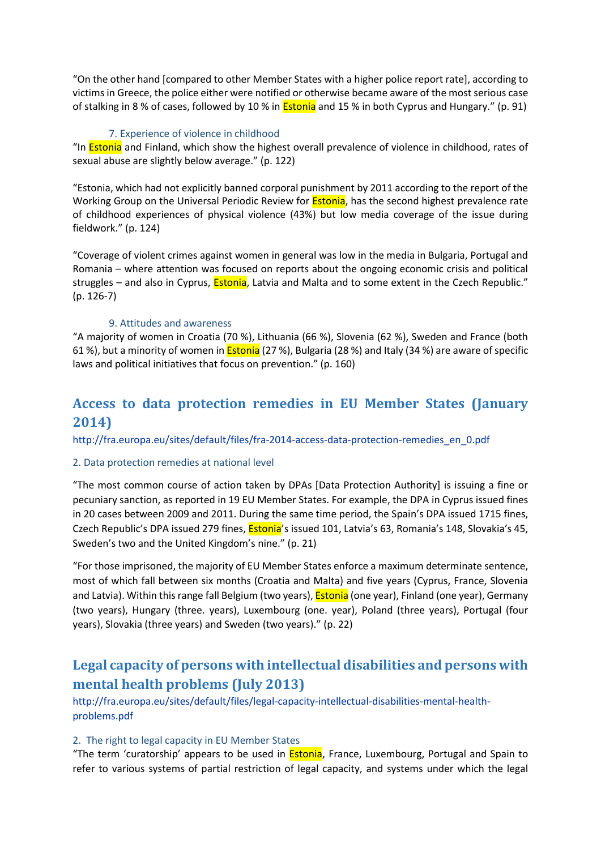"On the other hand [compared to other Member States with a higher police report rate], according to victims in Greece, the police either were notified or otherwise became aware of the most serious case of stalking in 8 % of cases, followed by 10 % in Estonia and 15 % in both Cyprus and Hungary." (p. 91)

#### 7. Experience of violence in childhood

"In **Estonia** and Finland, which show the highest overall prevalence of violence in childhood, rates of sexual abuse are slightly below average." (p. 122)

"Estonia, which had not explicitly banned corporal punishment by 2011 according to the report of the Working Group on the Universal Periodic Review for **Estonia**, has the second highest prevalence rate of childhood experiences of physical violence (43%) but low media coverage of the issue during fieldwork." (p. 124)

"Coverage of violent crimes against women in general was low in the media in Bulgaria, Portugal and Romania – where attention was focused on reports about the ongoing economic crisis and political struggles – and also in Cyprus, **Estonia**, Latvia and Malta and to some extent in the Czech Republic." (p. 126-7)

#### 9. Attitudes and awareness

"A majority of women in Croatia (70 %), Lithuania (66 %), Slovenia (62 %), Sweden and France (both 61 %), but a minority of women in **Estonia** (27 %), Bulgaria (28 %) and Italy (34 %) are aware of specific laws and political initiatives that focus on prevention." (p. 160)

# <span id="page-11-0"></span>**Access to data protection remedies in EU Member States (January 2014)**

[http://fra.europa.eu/sites/default/files/fra-2014-access-data-protection-remedies\\_en\\_0.pdf](http://fra.europa.eu/sites/default/files/fra-2014-access-data-protection-remedies_en_0.pdf)

#### 2. Data protection remedies at national level

"The most common course of action taken by DPAs [Data Protection Authority] is issuing a fine or pecuniary sanction, as reported in 19 EU Member States. For example, the DPA in Cyprus issued fines in 20 cases between 2009 and 2011. During the same time period, the Spain's DPA issued 1715 fines, Czech Republic's DPA issued 279 fines, Estonia's issued 101, Latvia's 63, Romania's 148, Slovakia's 45, Sweden's two and the United Kingdom's nine." (p. 21)

"For those imprisoned, the majority of EU Member States enforce a maximum determinate sentence, most of which fall between six months (Croatia and Malta) and five years (Cyprus, France, Slovenia and Latvia). Within this range fall Belgium (two years), **Estonia** (one year), Finland (one year), Germany (two years), Hungary (three. years), Luxembourg (one. year), Poland (three years), Portugal (four years), Slovakia (three years) and Sweden (two years)." (p. 22)

# <span id="page-11-1"></span>**Legal capacity of persons with intellectual disabilities and persons with mental health problems (July 2013)**

[http://fra.europa.eu/sites/default/files/legal-capacity-intellectual-disabilities-mental-health](http://fra.europa.eu/sites/default/files/legal-capacity-intellectual-disabilities-mental-health-problems.pdf)[problems.pdf](http://fra.europa.eu/sites/default/files/legal-capacity-intellectual-disabilities-mental-health-problems.pdf)

#### 2. The right to legal capacity in EU Member States

"The term 'curatorship' appears to be used in *Estonia*, France, Luxembourg, Portugal and Spain to refer to various systems of partial restriction of legal capacity, and systems under which the legal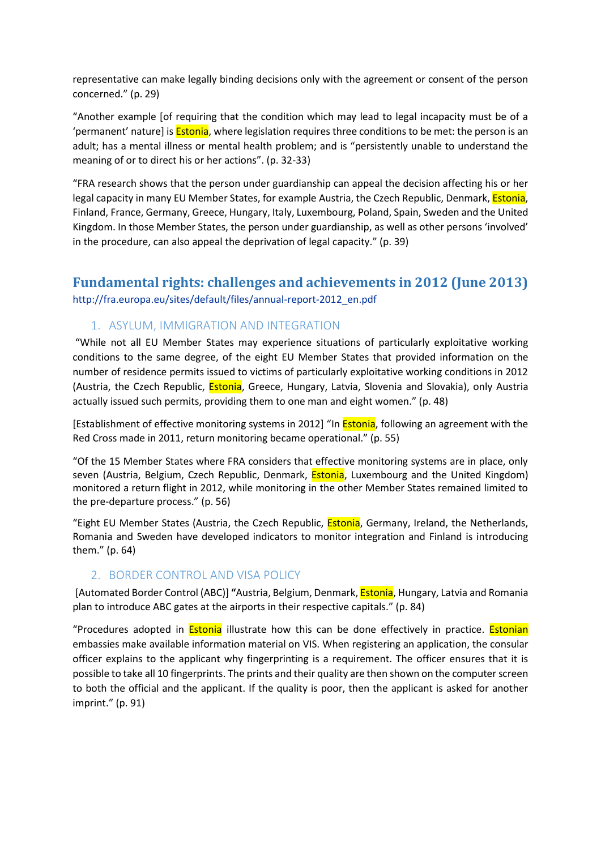representative can make legally binding decisions only with the agreement or consent of the person concerned." (p. 29)

"Another example [of requiring that the condition which may lead to legal incapacity must be of a 'permanent' nature] is **Estonia**, where legislation requires three conditions to be met: the person is an adult; has a mental illness or mental health problem; and is "persistently unable to understand the meaning of or to direct his or her actions". (p. 32-33)

"FRA research shows that the person under guardianship can appeal the decision affecting his or her legal capacity in many EU Member States, for example Austria, the Czech Republic, Denmark, **Estonia**, Finland, France, Germany, Greece, Hungary, Italy, Luxembourg, Poland, Spain, Sweden and the United Kingdom. In those Member States, the person under guardianship, as well as other persons 'involved' in the procedure, can also appeal the deprivation of legal capacity." (p. 39)

### <span id="page-12-0"></span>**Fundamental rights: challenges and achievements in 2012 (June 2013)** [http://fra.europa.eu/sites/default/files/annual-report-2012\\_en.pdf](http://fra.europa.eu/sites/default/files/annual-report-2012_en.pdf)

### <span id="page-12-1"></span>1. ASYLUM, IMMIGRATION AND INTEGRATION

"While not all EU Member States may experience situations of particularly exploitative working conditions to the same degree, of the eight EU Member States that provided information on the number of residence permits issued to victims of particularly exploitative working conditions in 2012 (Austria, the Czech Republic, *Estonia*, Greece, Hungary, Latvia, Slovenia and Slovakia), only Austria actually issued such permits, providing them to one man and eight women." (p. 48)

[Establishment of effective monitoring systems in 2012] "In **Estonia**, following an agreement with the Red Cross made in 2011, return monitoring became operational." (p. 55)

"Of the 15 Member States where FRA considers that effective monitoring systems are in place, only seven (Austria, Belgium, Czech Republic, Denmark, Estonia, Luxembourg and the United Kingdom) monitored a return flight in 2012, while monitoring in the other Member States remained limited to the pre-departure process." (p. 56)

"Eight EU Member States (Austria, the Czech Republic, Estonia, Germany, Ireland, the Netherlands, Romania and Sweden have developed indicators to monitor integration and Finland is introducing them." (p. 64)

#### <span id="page-12-2"></span>2. BORDER CONTROL AND VISA POLICY

[Automated Border Control (ABC)] **"**Austria, Belgium, Denmark, Estonia, Hungary, Latvia and Romania plan to introduce ABC gates at the airports in their respective capitals." (p. 84)

"Procedures adopted in **Estonia** illustrate how this can be done effectively in practice. **Estonian** embassies make available information material on VIS. When registering an application, the consular officer explains to the applicant why fingerprinting is a requirement. The officer ensures that it is possible to take all 10 fingerprints. The prints and their quality are then shown on the computer screen to both the official and the applicant. If the quality is poor, then the applicant is asked for another imprint." (p. 91)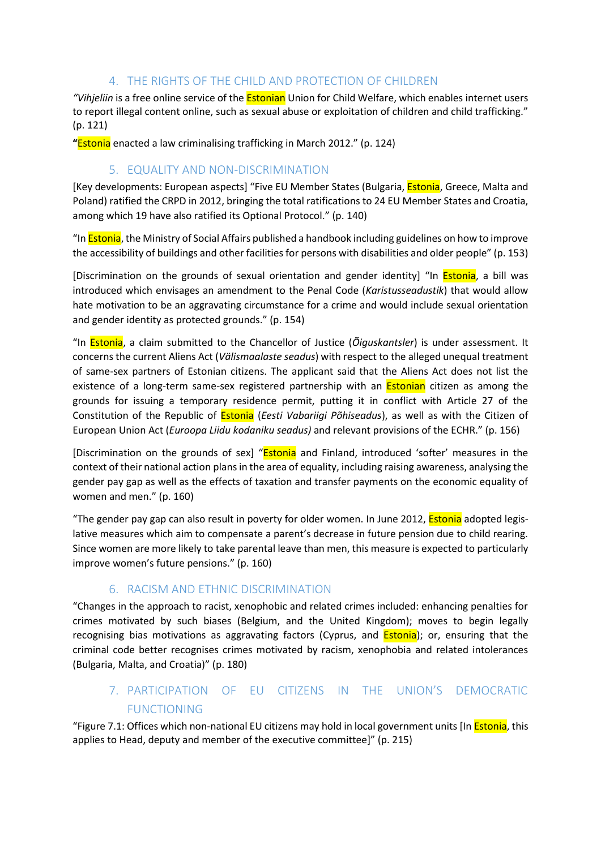### 4. THE RIGHTS OF THE CHILD AND PROTECTION OF CHILDREN

<span id="page-13-0"></span>*"Vihjeliin* is a free online service of the Estonian Union for Child Welfare, which enables internet users to report illegal content online, such as sexual abuse or exploitation of children and child trafficking." (p. 121)

**"**Estonia enacted a law criminalising trafficking in March 2012." (p. 124)

### 5. EQUALITY AND NON-DISCRIMINATION

<span id="page-13-1"></span>[Key developments: European aspects] "Five EU Member States (Bulgaria, Estonia, Greece, Malta and Poland) ratified the CRPD in 2012, bringing the total ratifications to 24 EU Member States and Croatia, among which 19 have also ratified its Optional Protocol." (p. 140)

"In Estonia, the Ministry of Social Affairs published a handbook including guidelines on how to improve the accessibility of buildings and other facilities for persons with disabilities and older people" (p. 153)

[Discrimination on the grounds of sexual orientation and gender identity] "In **Estonia**, a bill was introduced which envisages an amendment to the Penal Code (*Karistusseadustik*) that would allow hate motivation to be an aggravating circumstance for a crime and would include sexual orientation and gender identity as protected grounds." (p. 154)

"In Estonia, a claim submitted to the Chancellor of Justice (*Õiguskantsler*) is under assessment. It concerns the current Aliens Act (*Välismaalaste seadus*) with respect to the alleged unequal treatment of same-sex partners of Estonian citizens. The applicant said that the Aliens Act does not list the existence of a long-term same-sex registered partnership with an **Estonian** citizen as among the grounds for issuing a temporary residence permit, putting it in conflict with Article 27 of the Constitution of the Republic of Estonia (*Eesti Vabariigi Põhiseadus*), as well as with the Citizen of European Union Act (*Euroopa Liidu kodaniku seadus)* and relevant provisions of the ECHR." (p. 156)

[Discrimination on the grounds of sex] "Estonia and Finland, introduced 'softer' measures in the context of their national action plans in the area of equality, including raising awareness, analysing the gender pay gap as well as the effects of taxation and transfer payments on the economic equality of women and men." (p. 160)

"The gender pay gap can also result in poverty for older women. In June 2012, *Estonia* adopted legislative measures which aim to compensate a parent's decrease in future pension due to child rearing. Since women are more likely to take parental leave than men, this measure is expected to particularly improve women's future pensions." (p. 160)

### 6. RACISM AND ETHNIC DISCRIMINATION

<span id="page-13-2"></span>"Changes in the approach to racist, xenophobic and related crimes included: enhancing penalties for crimes motivated by such biases (Belgium, and the United Kingdom); moves to begin legally recognising bias motivations as aggravating factors (Cyprus, and **Estonia**); or, ensuring that the criminal code better recognises crimes motivated by racism, xenophobia and related intolerances (Bulgaria, Malta, and Croatia)" (p. 180)

# 7. PARTICIPATION OF EU CITIZENS IN THE UNION'S DEMOCRATIC FUNCTIONING

<span id="page-13-3"></span>"Figure 7.1: Offices which non-national EU citizens may hold in local government units [In *Estonia*, this applies to Head, deputy and member of the executive committee]" (p. 215)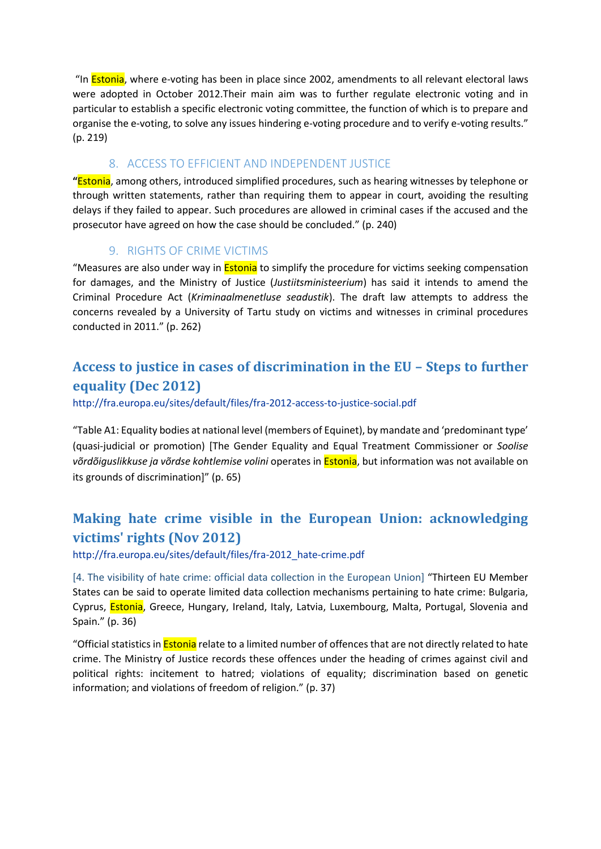"In **Estonia**, where e-voting has been in place since 2002, amendments to all relevant electoral laws were adopted in October 2012.Their main aim was to further regulate electronic voting and in particular to establish a specific electronic voting committee, the function of which is to prepare and organise the e-voting, to solve any issues hindering e-voting procedure and to verify e-voting results." (p. 219)

### 8. ACCESS TO EFFICIENT AND INDEPENDENT JUSTICE

<span id="page-14-0"></span>**"**Estonia, among others, introduced simplified procedures, such as hearing witnesses by telephone or through written statements, rather than requiring them to appear in court, avoiding the resulting delays if they failed to appear. Such procedures are allowed in criminal cases if the accused and the prosecutor have agreed on how the case should be concluded." (p. 240)

### 9. RIGHTS OF CRIME VICTIMS

<span id="page-14-1"></span>"Measures are also under way in **Estonia** to simplify the procedure for victims seeking compensation for damages, and the Ministry of Justice (*Justiitsministeerium*) has said it intends to amend the Criminal Procedure Act (*Kriminaalmenetluse seadustik*). The draft law attempts to address the concerns revealed by a University of Tartu study on victims and witnesses in criminal procedures conducted in 2011." (p. 262)

# <span id="page-14-2"></span>**Access to justice in cases of discrimination in the EU – Steps to further equality (Dec 2012)**

<http://fra.europa.eu/sites/default/files/fra-2012-access-to-justice-social.pdf>

"Table A1: Equality bodies at national level (members of Equinet), by mandate and 'predominant type' (quasi-judicial or promotion) [The Gender Equality and Equal Treatment Commissioner or *Soolise võrdõiguslikkuse ja võrdse kohtlemise volini* operates in Estonia, but information was not available on its grounds of discrimination]" (p. 65)

# <span id="page-14-3"></span>**Making hate crime visible in the European Union: acknowledging victims' rights (Nov 2012)**

[http://fra.europa.eu/sites/default/files/fra-2012\\_hate-crime.pdf](http://fra.europa.eu/sites/default/files/fra-2012_hate-crime.pdf)

[4. The visibility of hate crime: official data collection in the European Union] "Thirteen EU Member States can be said to operate limited data collection mechanisms pertaining to hate crime: Bulgaria, Cyprus, Estonia, Greece, Hungary, Ireland, Italy, Latvia, Luxembourg, Malta, Portugal, Slovenia and Spain." (p. 36)

"Official statistics in **Estonia** relate to a limited number of offences that are not directly related to hate crime. The Ministry of Justice records these offences under the heading of crimes against civil and political rights: incitement to hatred; violations of equality; discrimination based on genetic information; and violations of freedom of religion." (p. 37)